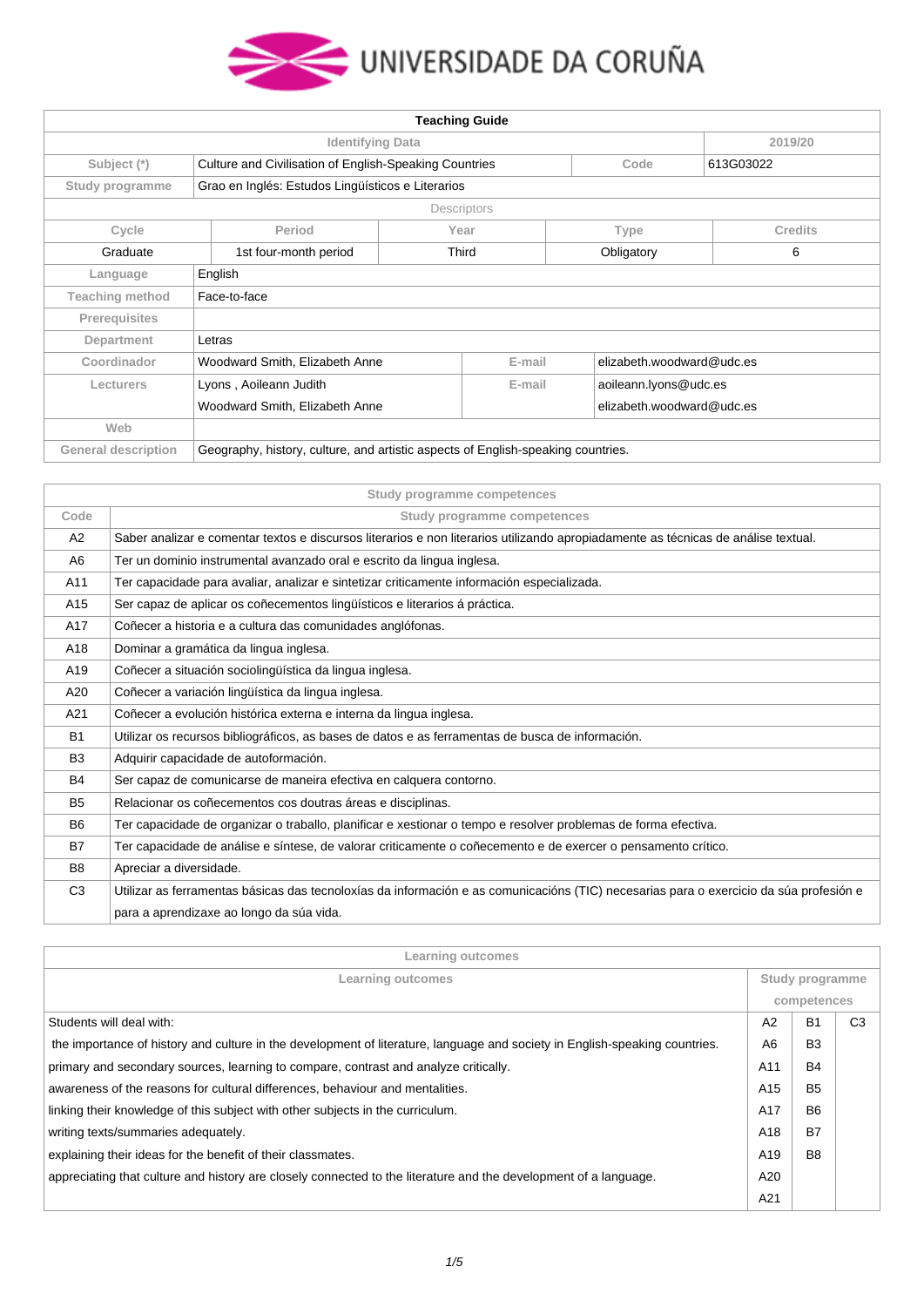

| <b>Teaching Guide</b>      |                                                                                  |             |                           |                           |  |
|----------------------------|----------------------------------------------------------------------------------|-------------|---------------------------|---------------------------|--|
|                            | <b>Identifying Data</b><br>2019/20                                               |             |                           |                           |  |
| Subject (*)                | Culture and Civilisation of English-Speaking Countries                           |             | Code                      | 613G03022                 |  |
| Study programme            | Grao en Inglés: Estudos Lingüísticos e Literarios                                |             |                           |                           |  |
|                            |                                                                                  | Descriptors |                           |                           |  |
| Cycle                      | Period                                                                           | Year        | <b>Type</b>               | <b>Credits</b>            |  |
| Graduate                   | 1st four-month period                                                            | Third       | Obligatory                | 6                         |  |
| Language                   | English                                                                          |             |                           |                           |  |
| <b>Teaching method</b>     | Face-to-face                                                                     |             |                           |                           |  |
| Prerequisites              |                                                                                  |             |                           |                           |  |
| Department                 | Letras                                                                           |             |                           |                           |  |
| Coordinador                | E-mail<br>Woodward Smith, Elizabeth Anne                                         |             |                           | elizabeth.woodward@udc.es |  |
| Lecturers                  | Lyons, Aoileann Judith                                                           |             | aoileann.lyons@udc.es     |                           |  |
|                            | Woodward Smith, Elizabeth Anne                                                   |             | elizabeth.woodward@udc.es |                           |  |
| Web                        |                                                                                  |             |                           |                           |  |
| <b>General description</b> | Geography, history, culture, and artistic aspects of English-speaking countries. |             |                           |                           |  |

|                | Study programme competences                                                                                                            |
|----------------|----------------------------------------------------------------------------------------------------------------------------------------|
| Code           | Study programme competences                                                                                                            |
| A2             | Saber analizar e comentar textos e discursos literarios e non literarios utilizando apropiadamente as técnicas de análise textual.     |
| A6             | Ter un dominio instrumental avanzado oral e escrito da lingua inglesa.                                                                 |
| A11            | Ter capacidade para avaliar, analizar e sintetizar criticamente información especializada.                                             |
| A15            | Ser capaz de aplicar os coñecementos lingüísticos e literarios á práctica.                                                             |
| A17            | Coñecer a historia e a cultura das comunidades anglófonas.                                                                             |
| A18            | Dominar a gramática da lingua inglesa.                                                                                                 |
| A19            | Coñecer a situación sociolingüística da lingua inglesa.                                                                                |
| A20            | Coñecer a variación lingüística da lingua inglesa.                                                                                     |
| A21            | Coñecer a evolución histórica externa e interna da lingua inglesa.                                                                     |
| <b>B1</b>      | Utilizar os recursos bibliográficos, as bases de datos e as ferramentas de busca de información.                                       |
| B <sub>3</sub> | Adquirir capacidade de autoformación.                                                                                                  |
| <b>B4</b>      | Ser capaz de comunicarse de maneira efectiva en calquera contorno.                                                                     |
| B <sub>5</sub> | Relacionar os coñecementos cos doutras áreas e disciplinas.                                                                            |
| B <sub>6</sub> | Ter capacidade de organizar o traballo, planificar e xestionar o tempo e resolver problemas de forma efectiva.                         |
| <b>B7</b>      | Ter capacidade de análise e síntese, de valorar criticamente o coñecemento e de exercer o pensamento crítico.                          |
| B <sub>8</sub> | Apreciar a diversidade.                                                                                                                |
| C <sub>3</sub> | Utilizar as ferramentas básicas das tecnoloxías da información e as comunicacións (TIC) necesarias para o exercicio da súa profesión e |
|                | para a aprendizaxe ao longo da súa vida.                                                                                               |

| Learning outcomes                                                                                                           |             |                 |                |
|-----------------------------------------------------------------------------------------------------------------------------|-------------|-----------------|----------------|
| Learning outcomes                                                                                                           |             | Study programme |                |
|                                                                                                                             | competences |                 |                |
| Students will deal with:                                                                                                    | A2          | <b>B1</b>       | C <sub>3</sub> |
| the importance of history and culture in the development of literature, language and society in English-speaking countries. | A6          | B <sub>3</sub>  |                |
| primary and secondary sources, learning to compare, contrast and analyze critically.                                        |             | <b>B4</b>       |                |
| awareness of the reasons for cultural differences, behaviour and mentalities.                                               |             | <b>B5</b>       |                |
| linking their knowledge of this subject with other subjects in the curriculum.                                              |             | B <sub>6</sub>  |                |
| writing texts/summaries adequately.                                                                                         |             | B7              |                |
| explaining their ideas for the benefit of their classmates.                                                                 |             | B <sub>8</sub>  |                |
| appreciating that culture and history are closely connected to the literature and the development of a language.            |             |                 |                |
|                                                                                                                             | A21         |                 |                |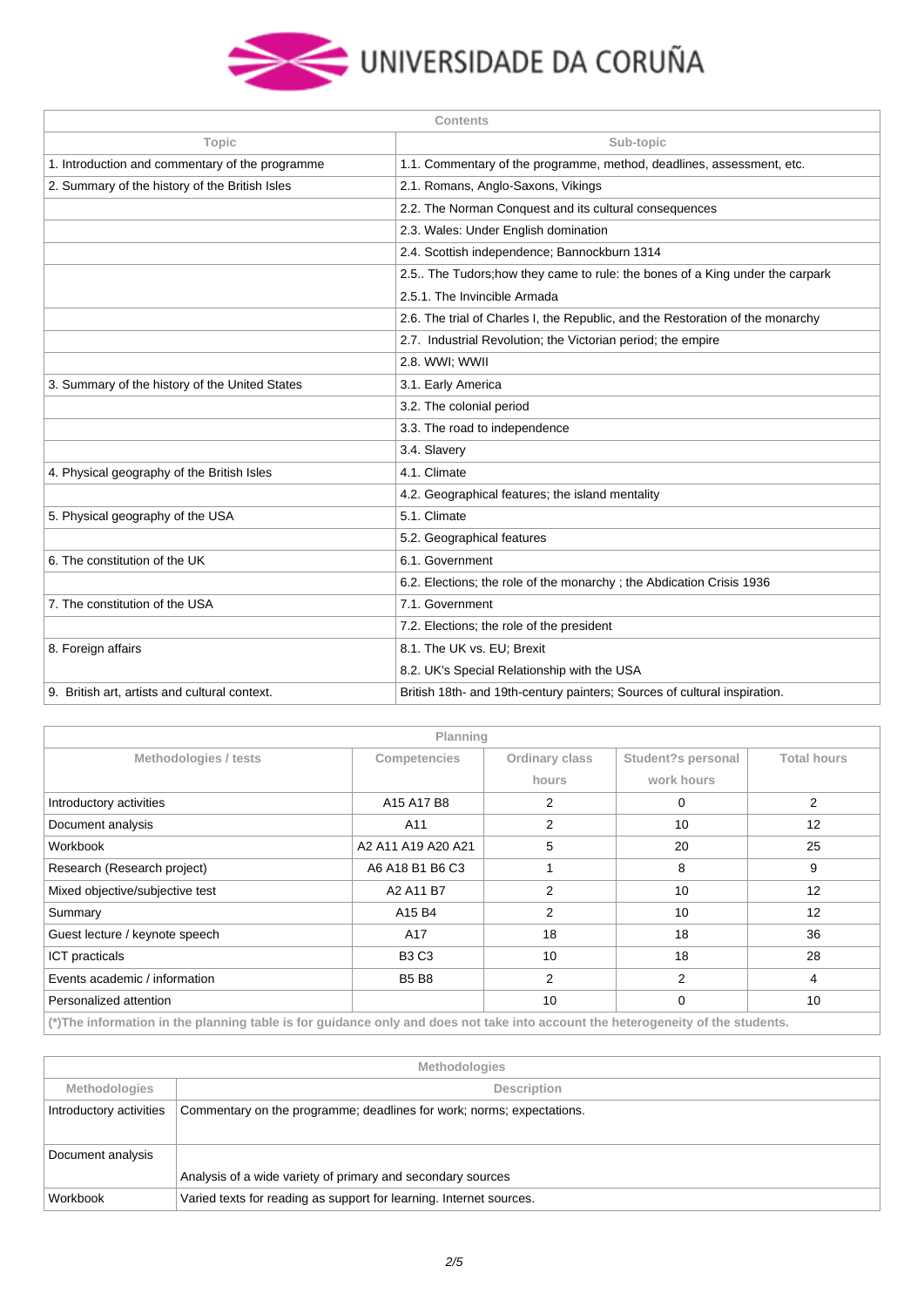

| <b>Contents</b>                                 |                                                                                |  |
|-------------------------------------------------|--------------------------------------------------------------------------------|--|
| Topic                                           | Sub-topic                                                                      |  |
| 1. Introduction and commentary of the programme | 1.1. Commentary of the programme, method, deadlines, assessment, etc.          |  |
| 2. Summary of the history of the British Isles  | 2.1. Romans, Anglo-Saxons, Vikings                                             |  |
|                                                 | 2.2. The Norman Conquest and its cultural consequences                         |  |
|                                                 | 2.3. Wales: Under English domination                                           |  |
|                                                 | 2.4. Scottish independence; Bannockburn 1314                                   |  |
|                                                 | 2.5. The Tudors; how they came to rule: the bones of a King under the carpark  |  |
|                                                 | 2.5.1. The Invincible Armada                                                   |  |
|                                                 | 2.6. The trial of Charles I, the Republic, and the Restoration of the monarchy |  |
|                                                 | 2.7. Industrial Revolution; the Victorian period; the empire                   |  |
|                                                 | 2.8. WWI; WWII                                                                 |  |
| 3. Summary of the history of the United States  | 3.1. Early America                                                             |  |
|                                                 | 3.2. The colonial period                                                       |  |
|                                                 | 3.3. The road to independence                                                  |  |
|                                                 | 3.4. Slavery                                                                   |  |
| 4. Physical geography of the British Isles      | 4.1. Climate                                                                   |  |
|                                                 | 4.2. Geographical features; the island mentality                               |  |
| 5. Physical geography of the USA                | 5.1. Climate                                                                   |  |
|                                                 | 5.2. Geographical features                                                     |  |
| 6. The constitution of the UK                   | 6.1. Government                                                                |  |
|                                                 | 6.2. Elections; the role of the monarchy; the Abdication Crisis 1936           |  |
| 7. The constitution of the USA                  | 7.1. Government                                                                |  |
|                                                 | 7.2. Elections; the role of the president                                      |  |
| 8. Foreign affairs                              | 8.1. The UK vs. EU; Brexit                                                     |  |
|                                                 | 8.2. UK's Special Relationship with the USA                                    |  |
| 9. British art, artists and cultural context.   | British 18th- and 19th-century painters; Sources of cultural inspiration.      |  |

|                                                                                                                             | Planning           |                |                    |                    |
|-----------------------------------------------------------------------------------------------------------------------------|--------------------|----------------|--------------------|--------------------|
| Methodologies / tests                                                                                                       | Competencies       | Ordinary class | Student?s personal | <b>Total hours</b> |
|                                                                                                                             |                    | hours          | work hours         |                    |
| Introductory activities                                                                                                     | A15 A17 B8         | 2              | 0                  | 2                  |
| Document analysis                                                                                                           | A11                | 2              | 10                 | 12                 |
| Workbook                                                                                                                    | A2 A11 A19 A20 A21 | 5              | 20                 | 25                 |
| Research (Research project)                                                                                                 | A6 A18 B1 B6 C3    |                | 8                  | 9                  |
| Mixed objective/subjective test                                                                                             | A2 A11 B7          | 2              | 10                 | 12                 |
| Summary                                                                                                                     | A15 B4             | 2              | 10                 | 12                 |
| Guest lecture / keynote speech                                                                                              | A17                | 18             | 18                 | 36                 |
| <b>ICT</b> practicals                                                                                                       | <b>B3 C3</b>       | 10             | 18                 | 28                 |
| Events academic / information                                                                                               | <b>B5 B8</b>       | 2              | 2                  | 4                  |
| Personalized attention                                                                                                      |                    | 10             | 0                  | 10                 |
| (*)The information in the planning table is for muldered and class motionic into account the hotercomputional the atualante |                    |                |                    |                    |

**(\*)The information in the planning table is for guidance only and does not take into account the heterogeneity of the students.**

| <b>Methodologies</b>    |                                                                       |  |
|-------------------------|-----------------------------------------------------------------------|--|
| <b>Methodologies</b>    | Description                                                           |  |
| Introductory activities | Commentary on the programme; deadlines for work; norms; expectations. |  |
| Document analysis       |                                                                       |  |
|                         | Analysis of a wide variety of primary and secondary sources           |  |
| Workbook                | Varied texts for reading as support for learning. Internet sources.   |  |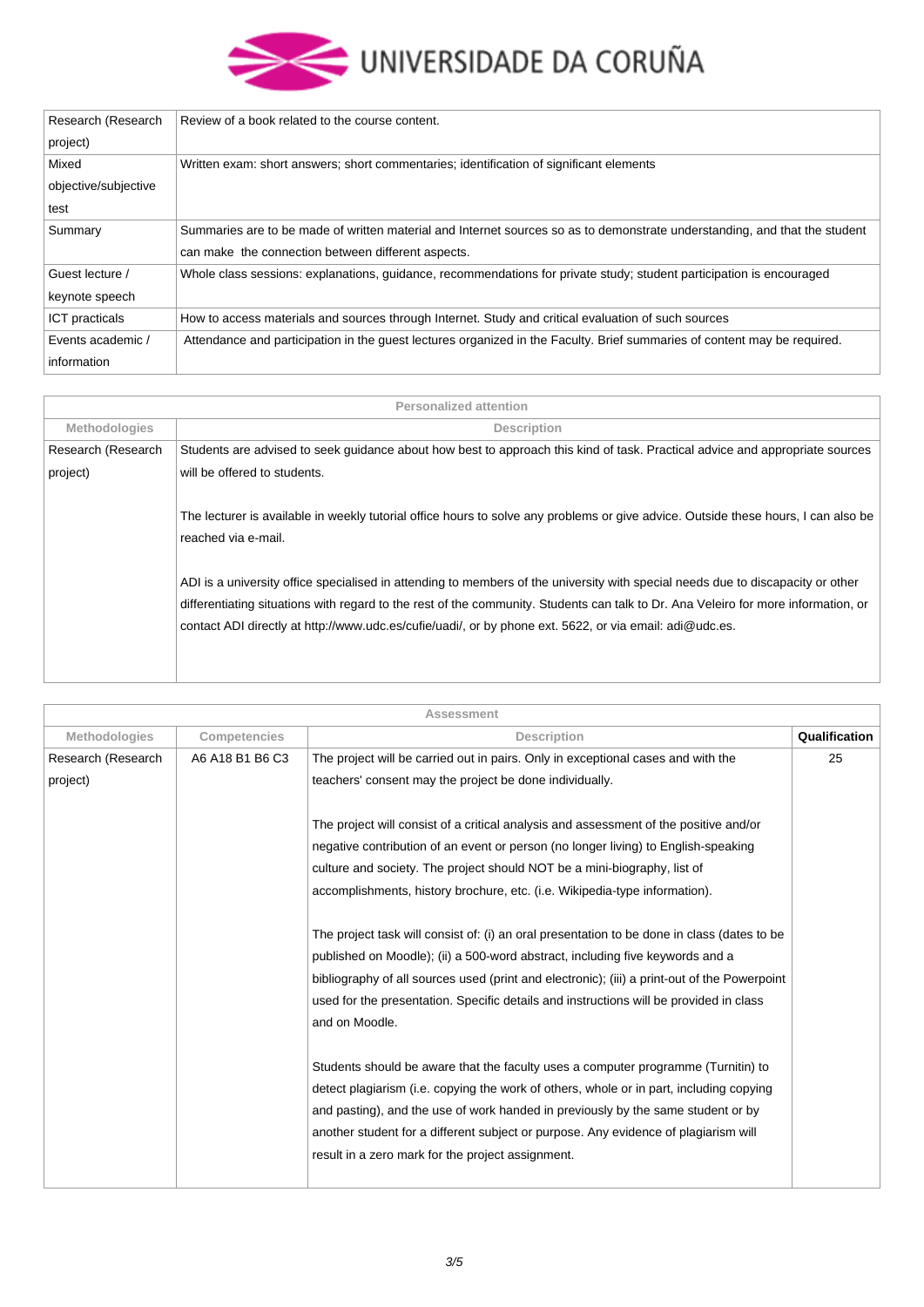

| Research (Research    | Review of a book related to the course content.                                                                            |
|-----------------------|----------------------------------------------------------------------------------------------------------------------------|
| project)              |                                                                                                                            |
| Mixed                 | Written exam: short answers; short commentaries; identification of significant elements                                    |
| objective/subjective  |                                                                                                                            |
| test                  |                                                                                                                            |
| Summary               | Summaries are to be made of written material and Internet sources so as to demonstrate understanding, and that the student |
|                       | can make the connection between different aspects.                                                                         |
| Guest lecture /       | Whole class sessions: explanations, guidance, recommendations for private study; student participation is encouraged       |
| keynote speech        |                                                                                                                            |
| <b>ICT</b> practicals | How to access materials and sources through Internet. Study and critical evaluation of such sources                        |
| Events academic /     | Attendance and participation in the guest lectures organized in the Faculty. Brief summaries of content may be required.   |
| information           |                                                                                                                            |

|                      | <b>Personalized attention</b>                                                                                                      |
|----------------------|------------------------------------------------------------------------------------------------------------------------------------|
| <b>Methodologies</b> | <b>Description</b>                                                                                                                 |
| Research (Research   | Students are advised to seek guidance about how best to approach this kind of task. Practical advice and appropriate sources       |
| project)             | will be offered to students.                                                                                                       |
|                      |                                                                                                                                    |
|                      | The lecturer is available in weekly tutorial office hours to solve any problems or give advice. Outside these hours, I can also be |
|                      | reached via e-mail.                                                                                                                |
|                      |                                                                                                                                    |
|                      | ADI is a university office specialised in attending to members of the university with special needs due to discapacity or other    |
|                      | differentiating situations with regard to the rest of the community. Students can talk to Dr. Ana Veleiro for more information, or |
|                      | contact ADI directly at http://www.udc.es/cufie/uadi/, or by phone ext. 5622, or via email: adi@udc.es.                            |
|                      |                                                                                                                                    |
|                      |                                                                                                                                    |

|                      |                 | Assessment                                                                                   |               |
|----------------------|-----------------|----------------------------------------------------------------------------------------------|---------------|
| <b>Methodologies</b> | Competencies    | <b>Description</b>                                                                           | Qualification |
| Research (Research   | A6 A18 B1 B6 C3 | The project will be carried out in pairs. Only in exceptional cases and with the             | 25            |
| project)             |                 | teachers' consent may the project be done individually.                                      |               |
|                      |                 | The project will consist of a critical analysis and assessment of the positive and/or        |               |
|                      |                 | negative contribution of an event or person (no longer living) to English-speaking           |               |
|                      |                 | culture and society. The project should NOT be a mini-biography, list of                     |               |
|                      |                 | accomplishments, history brochure, etc. (i.e. Wikipedia-type information).                   |               |
|                      |                 | The project task will consist of: (i) an oral presentation to be done in class (dates to be  |               |
|                      |                 | published on Moodle); (ii) a 500-word abstract, including five keywords and a                |               |
|                      |                 | bibliography of all sources used (print and electronic); (iii) a print-out of the Powerpoint |               |
|                      |                 | used for the presentation. Specific details and instructions will be provided in class       |               |
|                      |                 | and on Moodle.                                                                               |               |
|                      |                 | Students should be aware that the faculty uses a computer programme (Turnitin) to            |               |
|                      |                 | detect plagiarism (i.e. copying the work of others, whole or in part, including copying      |               |
|                      |                 | and pasting), and the use of work handed in previously by the same student or by             |               |
|                      |                 | another student for a different subject or purpose. Any evidence of plagiarism will          |               |
|                      |                 | result in a zero mark for the project assignment.                                            |               |
|                      |                 |                                                                                              |               |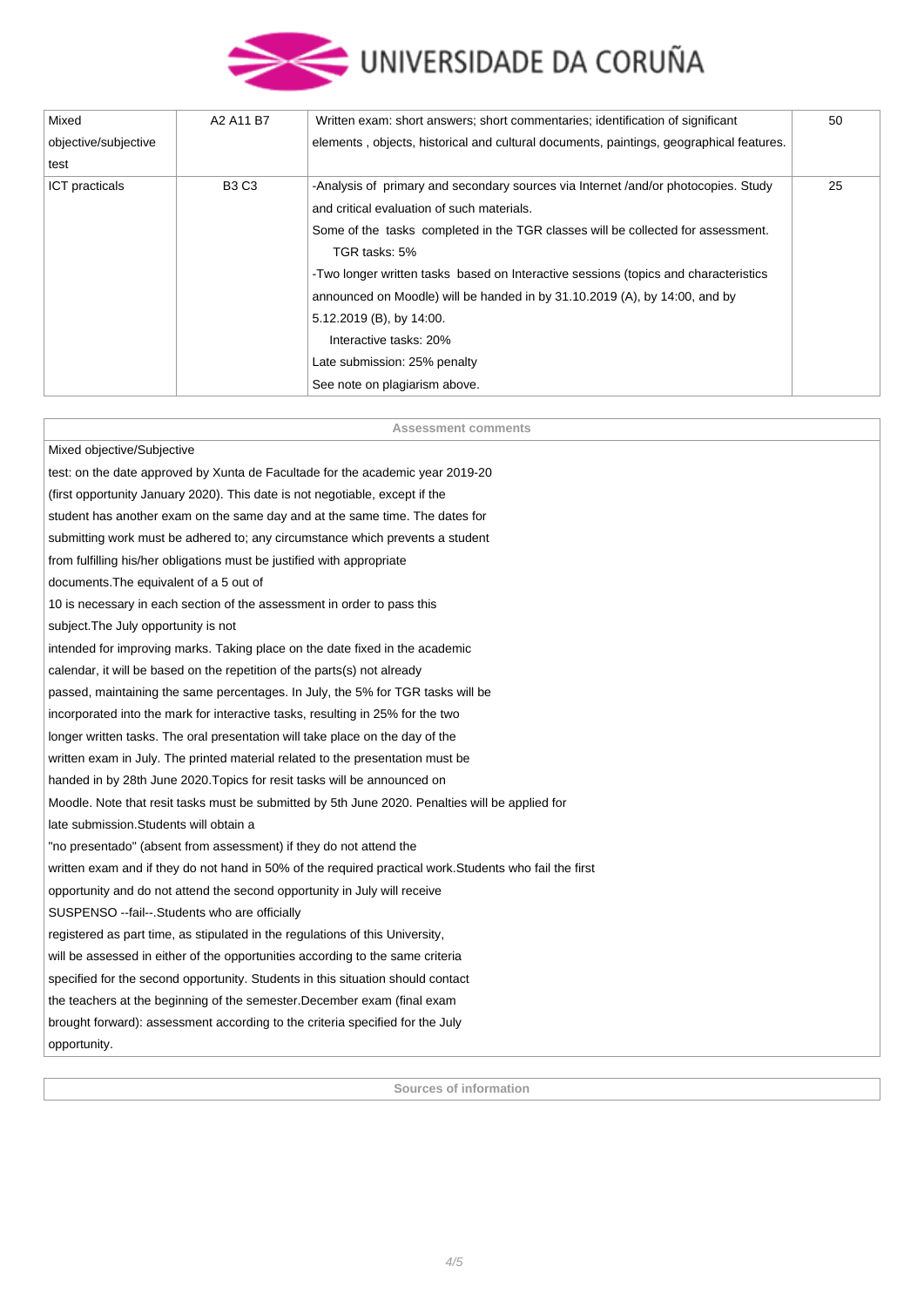

| Mixed                | A2 A11 B7    | Written exam: short answers; short commentaries; identification of significant          | 50 |
|----------------------|--------------|-----------------------------------------------------------------------------------------|----|
| objective/subjective |              | elements, objects, historical and cultural documents, paintings, geographical features. |    |
| test                 |              |                                                                                         |    |
| ICT practicals       | <b>B3 C3</b> | -Analysis of primary and secondary sources via Internet /and/or photocopies. Study      | 25 |
|                      |              | and critical evaluation of such materials.                                              |    |
|                      |              | Some of the tasks completed in the TGR classes will be collected for assessment.        |    |
|                      |              | TGR tasks: 5%                                                                           |    |
|                      |              | -Two longer written tasks based on Interactive sessions (topics and characteristics     |    |
|                      |              | announced on Moodle) will be handed in by 31.10.2019 (A), by 14:00, and by              |    |
|                      |              | 5.12.2019 (B), by 14:00.                                                                |    |
|                      |              | Interactive tasks: 20%                                                                  |    |
|                      |              | Late submission: 25% penalty                                                            |    |
|                      |              | See note on plagiarism above.                                                           |    |

| <b>Assessment comments</b>                                                                              |
|---------------------------------------------------------------------------------------------------------|
| Mixed objective/Subjective                                                                              |
| test: on the date approved by Xunta de Facultade for the academic year 2019-20                          |
| (first opportunity January 2020). This date is not negotiable, except if the                            |
| student has another exam on the same day and at the same time. The dates for                            |
| submitting work must be adhered to; any circumstance which prevents a student                           |
| from fulfilling his/her obligations must be justified with appropriate                                  |
| documents. The equivalent of a 5 out of                                                                 |
| 10 is necessary in each section of the assessment in order to pass this                                 |
| subject. The July opportunity is not                                                                    |
| intended for improving marks. Taking place on the date fixed in the academic                            |
| calendar, it will be based on the repetition of the parts(s) not already                                |
| passed, maintaining the same percentages. In July, the 5% for TGR tasks will be                         |
| incorporated into the mark for interactive tasks, resulting in 25% for the two                          |
| longer written tasks. The oral presentation will take place on the day of the                           |
| written exam in July. The printed material related to the presentation must be                          |
| handed in by 28th June 2020. Topics for resit tasks will be announced on                                |
| Moodle. Note that resit tasks must be submitted by 5th June 2020. Penalties will be applied for         |
| late submission. Students will obtain a                                                                 |
| "no presentado" (absent from assessment) if they do not attend the                                      |
| written exam and if they do not hand in 50% of the required practical work. Students who fail the first |
| opportunity and do not attend the second opportunity in July will receive                               |
| SUSPENSO -- fail--. Students who are officially                                                         |
| registered as part time, as stipulated in the regulations of this University,                           |
| will be assessed in either of the opportunities according to the same criteria                          |
| specified for the second opportunity. Students in this situation should contact                         |
| the teachers at the beginning of the semester. December exam (final exam                                |
| brought forward): assessment according to the criteria specified for the July                           |
| opportunity.                                                                                            |
|                                                                                                         |

**Sources of information**